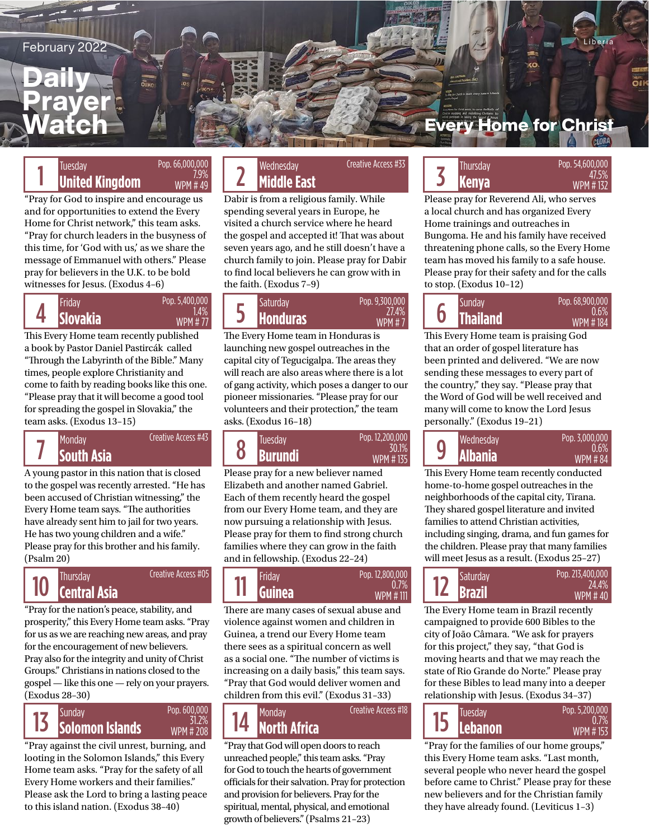February 2022

## **Daily** Prayer Watch

## Pop. 66,000,000 WPM # 49

7.9%

"Pray for God to inspire and encourage us and for opportunities to extend the Every Home for Christ network," this team asks. "Pray for church leaders in the busyness of this time, for 'God with us,' as we share the message of Emmanuel with others." Please pray for believers in the U.K. to be bold witnesses for Jesus. (Exodus 4–6)

#### 4 Pop. 5,400,000 1.4% WPM # 77

This Every Home team recently published a book by Pastor Daniel Pastircák called "Through the Labyrinth of the Bible." Many times, people explore Christianity and come to faith by reading books like this one. "Please pray that it will become a good tool for spreading the gospel in Slovakia," the team asks. (Exodus 13–15)

Creative Access #43 7

A young pastor in this nation that is closed to the gospel was recently arrested. "He has been accused of Christian witnessing," the Every Home team says. "The authorities have already sent him to jail for two years. He has two young children and a wife." Please pray for this brother and his family. (Psalm 20)

## 10 Creative Access #05

"Pray for the nation's peace, stability, and prosperity," this Every Home team asks. "Pray for us as we are reaching new areas, and pray for the encouragement of new believers. Pray also for the integrity and unity of Christ Groups." Christians in nations closed to the gospel — like this one — rely on your prayers. (Exodus 28–30)



"Pray against the civil unrest, burning, and looting in the Solomon Islands," this Every Home team asks. "Pray for the safety of all Every Home workers and their families." Please ask the Lord to bring a lasting peace to this island nation. (Exodus 38–40)

### Tuesday **Representing the Concess Age of the Concess Age of the Concess Age of the Concess Age of the Second St Middle East** Tuesday Wednesday Thursday

Dabir is from a religious family. While spending several years in Europe, he visited a church service where he heard the gospel and accepted it! That was about seven years ago, and he still doesn't have a church family to join. Please pray for Dabir to find local believers he can grow with in the faith. (Exodus 7–9)

Creative Access #33

| Pop. 5,400,000<br>Friday<br>.4%<br>Slovakia<br><b>WPM #77</b> | <b>Saturday</b><br><b>Honduras</b> | Pop. 9,300,000<br>27.4%<br><b>WPM#7</b> |  | Sundav<br><b>Thailand</b> |
|---------------------------------------------------------------|------------------------------------|-----------------------------------------|--|---------------------------|
|---------------------------------------------------------------|------------------------------------|-----------------------------------------|--|---------------------------|

The Every Home team in Honduras is launching new gospel outreaches in the capital city of Tegucigalpa. The areas they will reach are also areas where there is a lot of gang activity, which poses a danger to our pioneer missionaries. "Please pray for our volunteers and their protection," the team asks. (Exodus 16–18)



Please pray for a new believer named Elizabeth and another named Gabriel. Each of them recently heard the gospel from our Every Home team, and they are now pursuing a relationship with Jesus. Please pray for them to find strong church families where they can grow in the faith and in fellowship. (Exodus 22–24)



There are many cases of sexual abuse and violence against women and children in Guinea, a trend our Every Home team there sees as a spiritual concern as well as a social one. "The number of victims is increasing on a daily basis," this team says. "Pray that God would deliver women and children from this evil." (Exodus 31–33)

Creative Access #18

14

"Pray that God will open doors to reach unreached people," this team asks. "Pray for God to touch the hearts of government officials for their salvation. Pray for protection and provision for believers. Pray for the spiritual, mental, physical, and emotional growth of believers." (Psalms 21–23)

## **Every Home for Christ**

## Tuesday Pop. 66,000,000 Pop. 66,000,000 Wednesday Creative Access #33<br><sup>7.9%</sup> 2 Middle East Middle Fast Mingdom WPM # 49 2 Middle East Wednesday ATThursday Menya Munted Kingdom 47.5% 47.5% **Kenya WPM**

Please pray for Reverend Ali, who serves a local church and has organized Every Home trainings and outreaches in Bungoma. He and his family have received threatening phone calls, so the Every Home team has moved his family to a safe house. Please pray for their safety and for the calls to stop. (Exodus 10–12)

Pop. 68,900,000 0.6% WPM # 184 6

This Every Home team is praising God that an order of gospel literature has been printed and delivered. "We are now sending these messages to every part of the country," they say. "Please pray that the Word of God will be well received and many will come to know the Lord Jesus personally." (Exodus 19–21)



This Every Home team recently conducted home-to-home gospel outreaches in the neighborhoods of the capital city, Tirana. They shared gospel literature and invited families to attend Christian activities, including singing, drama, and fun games for the children. Please pray that many families will meet Jesus as a result. (Exodus 25–27)



The Every Home team in Brazil recently campaigned to provide 600 Bibles to the city of João Câmara. "We ask for prayers for this project," they say, "that God is moving hearts and that we may reach the state of Rio Grande do Norte." Please pray for these Bibles to lead many into a deeper relationship with Jesus. (Exodus 34–37)



"Pray for the families of our home groups," this Every Home team asks. "Last month, several people who never heard the gospel before came to Christ." Please pray for these new believers and for the Christian family they have already found. (Leviticus 1–3)